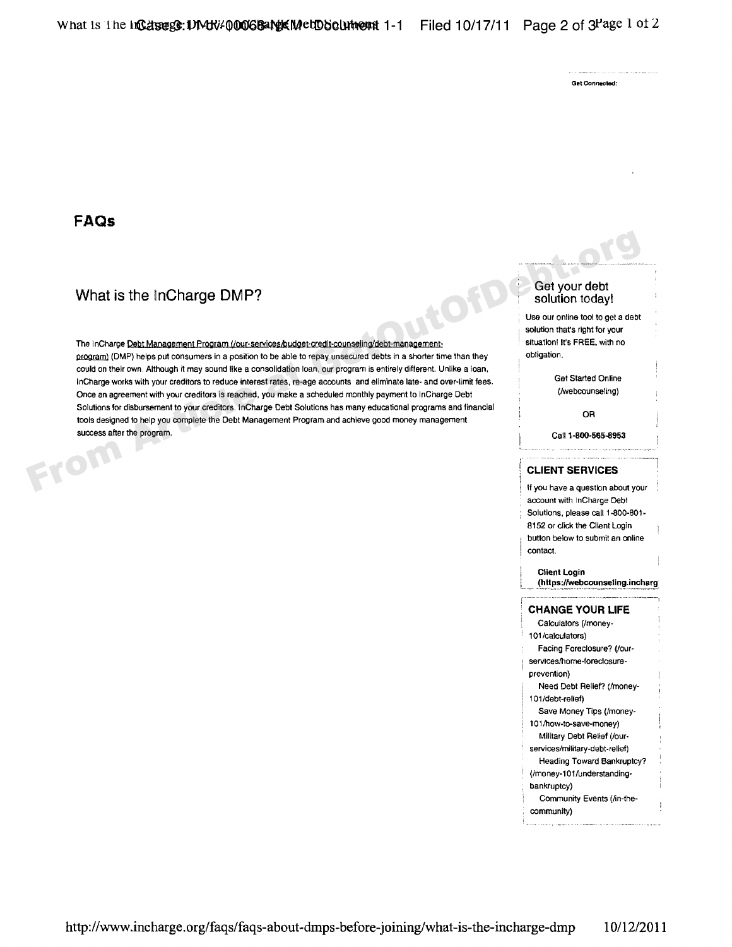Get Connected:

## **FAQs**

# What is the InCharge DMP? Get your debt solution today!

The inCharge <u>Debt Management Program (/our-services/budget-credit-counseling/debt-management-</u> situation! It's FREE, with no program) (DMP) helps put consumers in a position to be able to repay unsecured debts in a shorter time than they could on their own Although it may sound like a consolidation loan, our program is entirely different. Unlike a loan, InCharge works with your creditors to reduce interest rates, re-age accounts and eliminate late- and over-limit fees. Get Started Online<br>Once an agreement with your creditors is reached, you make a scheduled monthly paymen Once an agreement with your creditors is reached, you make a scheduled monthly payment to InCharge Debt Solutions for disbursement to your creditors. InCharge Debt Solutions has many educational programs and financial<br>tools designed to help you complete the Debt Management Program and achieve good money management success after the program. Call 1-800-565-8953<br>
Call 1-800-565-8953<br>
Call 1-800-565-8953 What is the InCharge DMP?<br>
The inCharge DMP and the accordistion of the United Solution today!<br>
The inCharge Debt.<br>
Management Exception (CMP) helps put consumers in a position to be able to repay unsecured debts in a shor

Use our online tool to get a debt solution that's right for your

### **, 'CLIENT SERVICES**

If you have a question about your account with InCharge Debt Solutions, please call 1-800-801-Bt 52 or click the Client Login button below to submit an online contact.

### **Client Login**

**(htt** ps://webcounseling.incharg

### **, CHANGE YOUR LIFE**

#### Calculators (/money 101 /calculators)

- Facing Foreclosure'? (/our
- services/home-foreclosure-

#### prevention) Need Debt Relief? (/money

- 101/debt-relief)
- Save Money Tips (/money
- 101/how-to-save-money)
- Military Debt Relief (/our
- services/military-debt-relief)
- Heading Toward Bankruptcy ' (/money-101/understanding
- bankruptcy)
- Community Events (/in-the
- community)